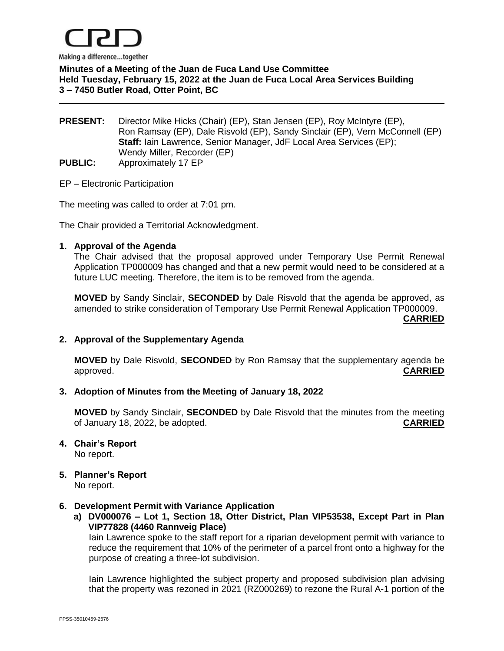

**Minutes of a Meeting of the Juan de Fuca Land Use Committee Held Tuesday, February 15, 2022 at the Juan de Fuca Local Area Services Building 3 – 7450 Butler Road, Otter Point, BC**

**PRESENT:** Director Mike Hicks (Chair) (EP), Stan Jensen (EP), Roy McIntyre (EP), Ron Ramsay (EP), Dale Risvold (EP), Sandy Sinclair (EP), Vern McConnell (EP) **Staff:** Iain Lawrence, Senior Manager, JdF Local Area Services (EP); Wendy Miller, Recorder (EP) **PUBLIC:** Approximately 17 EP

### EP – Electronic Participation

The meeting was called to order at 7:01 pm.

The Chair provided a Territorial Acknowledgment.

### **1. Approval of the Agenda**

The Chair advised that the proposal approved under Temporary Use Permit Renewal Application TP000009 has changed and that a new permit would need to be considered at a future LUC meeting. Therefore, the item is to be removed from the agenda.

**MOVED** by Sandy Sinclair, **SECONDED** by Dale Risvold that the agenda be approved, as amended to strike consideration of Temporary Use Permit Renewal Application TP000009.

**CARRIED**

## **2. Approval of the Supplementary Agenda**

**MOVED** by Dale Risvold, **SECONDED** by Ron Ramsay that the supplementary agenda be approved. **CARRIED**

#### **3. Adoption of Minutes from the Meeting of January 18, 2022**

**MOVED** by Sandy Sinclair, **SECONDED** by Dale Risvold that the minutes from the meeting of January 18, 2022, be adopted. **CARRIED**

- **4. Chair's Report** No report.
- **5. Planner's Report** No report.

#### **6. Development Permit with Variance Application**

**a) DV000076 – Lot 1, Section 18, Otter District, Plan VIP53538, Except Part in Plan VIP77828 (4460 Rannveig Place)**

Iain Lawrence spoke to the staff report for a riparian development permit with variance to reduce the requirement that 10% of the perimeter of a parcel front onto a highway for the purpose of creating a three-lot subdivision.

Iain Lawrence highlighted the subject property and proposed subdivision plan advising that the property was rezoned in 2021 (RZ000269) to rezone the Rural A-1 portion of the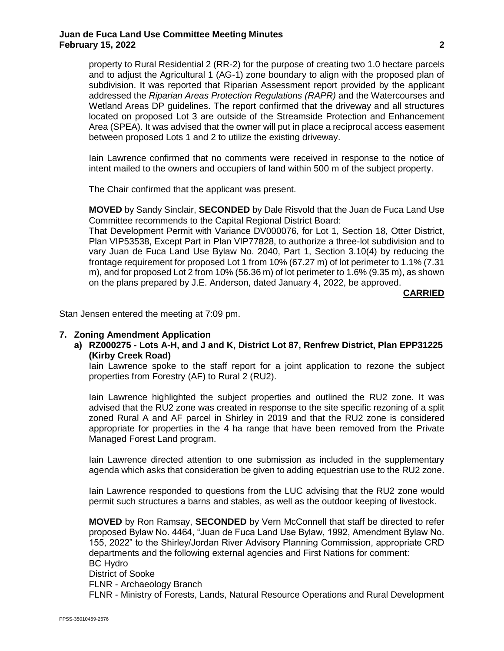property to Rural Residential 2 (RR-2) for the purpose of creating two 1.0 hectare parcels and to adjust the Agricultural 1 (AG-1) zone boundary to align with the proposed plan of subdivision. It was reported that Riparian Assessment report provided by the applicant addressed the *Riparian Areas Protection Regulations (RAPR)* and the Watercourses and Wetland Areas DP guidelines. The report confirmed that the driveway and all structures located on proposed Lot 3 are outside of the Streamside Protection and Enhancement Area (SPEA). It was advised that the owner will put in place a reciprocal access easement between proposed Lots 1 and 2 to utilize the existing driveway.

Iain Lawrence confirmed that no comments were received in response to the notice of intent mailed to the owners and occupiers of land within 500 m of the subject property.

The Chair confirmed that the applicant was present.

**MOVED** by Sandy Sinclair, **SECONDED** by Dale Risvold that the Juan de Fuca Land Use Committee recommends to the Capital Regional District Board:

That Development Permit with Variance DV000076, for Lot 1, Section 18, Otter District, Plan VIP53538, Except Part in Plan VIP77828, to authorize a three-lot subdivision and to vary Juan de Fuca Land Use Bylaw No. 2040, Part 1, Section 3.10(4) by reducing the frontage requirement for proposed Lot 1 from 10% (67.27 m) of lot perimeter to 1.1% (7.31 m), and for proposed Lot 2 from 10% (56.36 m) of lot perimeter to 1.6% (9.35 m), as shown on the plans prepared by J.E. Anderson, dated January 4, 2022, be approved.

**CARRIED**

Stan Jensen entered the meeting at 7:09 pm.

# **7. Zoning Amendment Application**

**a) RZ000275 - Lots A-H, and J and K, District Lot 87, Renfrew District, Plan EPP31225 (Kirby Creek Road)**

Iain Lawrence spoke to the staff report for a joint application to rezone the subject properties from Forestry (AF) to Rural 2 (RU2).

Iain Lawrence highlighted the subject properties and outlined the RU2 zone. It was advised that the RU2 zone was created in response to the site specific rezoning of a split zoned Rural A and AF parcel in Shirley in 2019 and that the RU2 zone is considered appropriate for properties in the 4 ha range that have been removed from the Private Managed Forest Land program.

Iain Lawrence directed attention to one submission as included in the supplementary agenda which asks that consideration be given to adding equestrian use to the RU2 zone.

Iain Lawrence responded to questions from the LUC advising that the RU2 zone would permit such structures a barns and stables, as well as the outdoor keeping of livestock.

**MOVED** by Ron Ramsay, **SECONDED** by Vern McConnell that staff be directed to refer proposed Bylaw No. 4464, "Juan de Fuca Land Use Bylaw, 1992, Amendment Bylaw No. 155, 2022" to the Shirley/Jordan River Advisory Planning Commission, appropriate CRD departments and the following external agencies and First Nations for comment: BC Hydro District of Sooke FLNR - Archaeology Branch FLNR - Ministry of Forests, Lands, Natural Resource Operations and Rural Development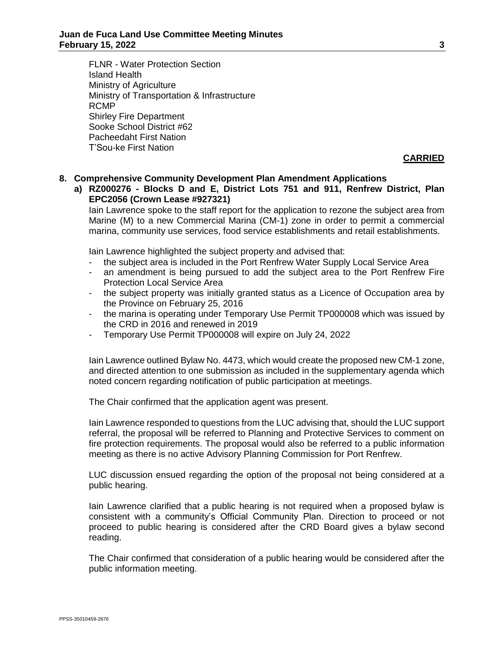FLNR - Water Protection Section Island Health Ministry of Agriculture Ministry of Transportation & Infrastructure RCMP Shirley Fire Department Sooke School District #62 Pacheedaht First Nation T'Sou-ke First Nation

**CARRIED**

### **8. Comprehensive Community Development Plan Amendment Applications**

**a) RZ000276 - Blocks D and E, District Lots 751 and 911, Renfrew District, Plan EPC2056 (Crown Lease #927321)**

Iain Lawrence spoke to the staff report for the application to rezone the subject area from Marine (M) to a new Commercial Marina (CM-1) zone in order to permit a commercial marina, community use services, food service establishments and retail establishments.

Iain Lawrence highlighted the subject property and advised that:

- the subject area is included in the Port Renfrew Water Supply Local Service Area
- an amendment is being pursued to add the subject area to the Port Renfrew Fire Protection Local Service Area
- the subject property was initially granted status as a Licence of Occupation area by the Province on February 25, 2016
- the marina is operating under Temporary Use Permit TP000008 which was issued by the CRD in 2016 and renewed in 2019
- Temporary Use Permit TP000008 will expire on July 24, 2022

Iain Lawrence outlined Bylaw No. 4473, which would create the proposed new CM-1 zone, and directed attention to one submission as included in the supplementary agenda which noted concern regarding notification of public participation at meetings.

The Chair confirmed that the application agent was present.

Iain Lawrence responded to questions from the LUC advising that, should the LUC support referral, the proposal will be referred to Planning and Protective Services to comment on fire protection requirements. The proposal would also be referred to a public information meeting as there is no active Advisory Planning Commission for Port Renfrew.

LUC discussion ensued regarding the option of the proposal not being considered at a public hearing.

Iain Lawrence clarified that a public hearing is not required when a proposed bylaw is consistent with a community's Official Community Plan. Direction to proceed or not proceed to public hearing is considered after the CRD Board gives a bylaw second reading.

The Chair confirmed that consideration of a public hearing would be considered after the public information meeting.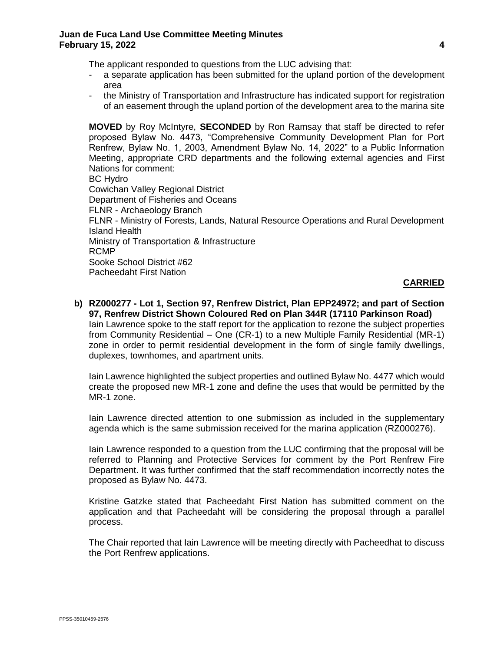The applicant responded to questions from the LUC advising that:

- a separate application has been submitted for the upland portion of the development area
- the Ministry of Transportation and Infrastructure has indicated support for registration of an easement through the upland portion of the development area to the marina site

**MOVED** by Roy McIntyre, **SECONDED** by Ron Ramsay that staff be directed to refer proposed Bylaw No. 4473, "Comprehensive Community Development Plan for Port Renfrew, Bylaw No. 1, 2003, Amendment Bylaw No. 14, 2022" to a Public Information Meeting, appropriate CRD departments and the following external agencies and First Nations for comment: BC Hydro Cowichan Valley Regional District Department of Fisheries and Oceans FLNR - Archaeology Branch FLNR - Ministry of Forests, Lands, Natural Resource Operations and Rural Development Island Health Ministry of Transportation & Infrastructure RCMP Sooke School District #62 Pacheedaht First Nation

### **CARRIED**

### **b) RZ000277 - Lot 1, Section 97, Renfrew District, Plan EPP24972; and part of Section 97, Renfrew District Shown Coloured Red on Plan 344R (17110 Parkinson Road)** Iain Lawrence spoke to the staff report for the application to rezone the subject properties

from Community Residential – One (CR-1) to a new Multiple Family Residential (MR-1) zone in order to permit residential development in the form of single family dwellings, duplexes, townhomes, and apartment units.

Iain Lawrence highlighted the subject properties and outlined Bylaw No. 4477 which would create the proposed new MR-1 zone and define the uses that would be permitted by the MR-1 zone.

Iain Lawrence directed attention to one submission as included in the supplementary agenda which is the same submission received for the marina application (RZ000276).

Iain Lawrence responded to a question from the LUC confirming that the proposal will be referred to Planning and Protective Services for comment by the Port Renfrew Fire Department. It was further confirmed that the staff recommendation incorrectly notes the proposed as Bylaw No. 4473.

Kristine Gatzke stated that Pacheedaht First Nation has submitted comment on the application and that Pacheedaht will be considering the proposal through a parallel process.

The Chair reported that Iain Lawrence will be meeting directly with Pacheedhat to discuss the Port Renfrew applications.